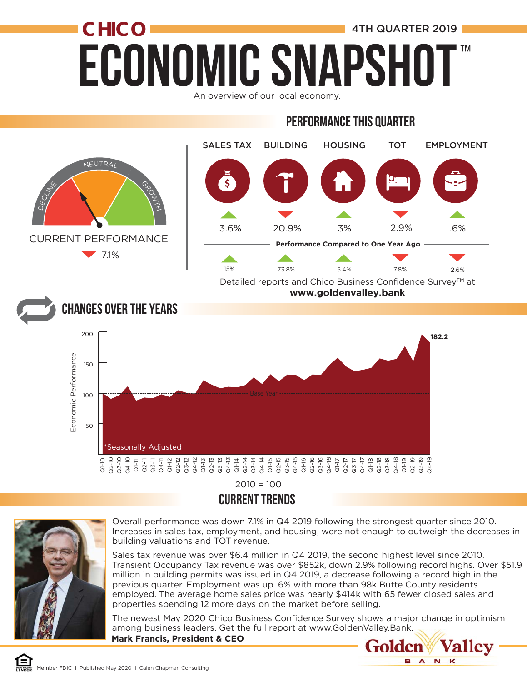# **ECONOMIC SNAPSHO CHICO 1** 4TH QUARTER 2019 ™

An overview of our local economy.

#### PERFORMANCE THIS QUARTER



#### CURRENT TRENDS



ีีี่ ∈า

Overall performance was down 7.1% in Q4 2019 following the strongest quarter since 2010. Increases in sales tax, employment, and housing, were not enough to outweigh the decreases in building valuations and TOT revenue.

Sales tax revenue was over \$6.4 million in Q4 2019, the second highest level since 2010. Transient Occupancy Tax revenue was over \$852k, down 2.9% following record highs. Over \$51.9 million in building permits was issued in Q4 2019, a decrease following a record high in the previous quarter. Employment was up .6% with more than 98k Butte County residents employed. The average home sales price was nearly \$414k with 65 fewer closed sales and properties spending 12 more days on the market before selling.

**Mark Francis, President & CEO** The newest May 2020 Chico Business Confidence Survey shows a major change in optimism among business leaders. Get the full report at www.GoldenValley.Bank.

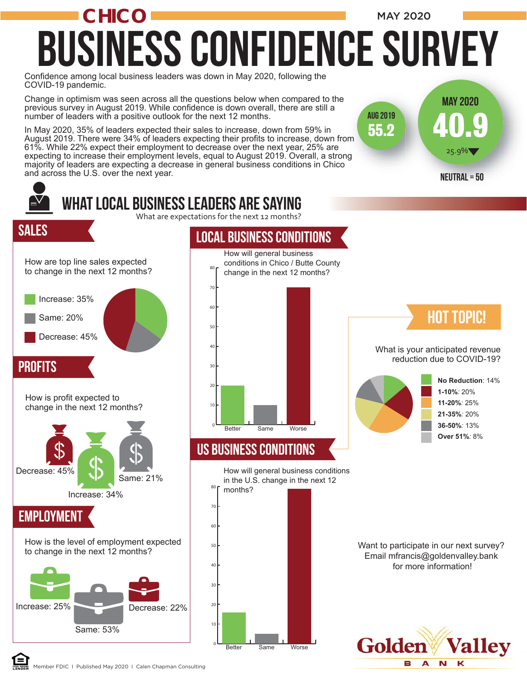### Confidence among local business leaders was down in May 2020, following the COVID-19 pandemic. Business COnfidence Survey **CHICO** MAY 2020

40.9

 $25.9\%$ 

Neutral = 50

55.2

Aug 2019

May 2020

Change in optimism was seen across all the questions below when compared to the previous survey in August 2019. While confidence is down overall, there are still a number of leaders with a positive outlook for the next 12 months.

In May 2020, 35% of leaders expected their sales to increase, down from 59% in August 2019. There were 34% of leaders expecting their profits to increase, down from 61%. While 22% expect their employment to decrease over the next year, 25% are August 2019. There were 34% of leaders expecting their profits to increase, down from<br>61%. While 22% expect their employment to decrease over the next year, 25% are<br>expecting to increase their employment levels, equal to A majority of leaders are expecting a decrease in general business conditions in Chico and across the U.S. over the next year.

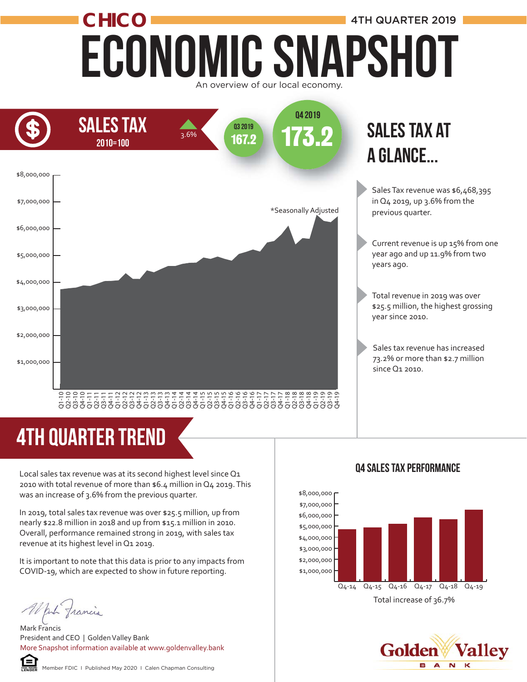#### Economic Snapshot **CHICO** An overview of our local economy. 4TH QUARTER 2019



## sales tax at a glance...

Sales Tax revenue was \$6,468,395 in Q4 2019, up 3.6% from the previous quarter.

- Current revenue is up 15% from one year ago and up 11.9% from two years ago.
- Total revenue in 2019 was over \$25.5 million, the highest grossing year since 2010.
- Sales tax revenue has increased 73.2% or more than \$2.7 million since Q1 2010.

# 4TH quarter trend

Local sales tax revenue was at its second highest level since Q1 2010 with total revenue of more than \$6.4 million in Q4 2019. This was an increase of 3.6% from the previous quarter.

In 2019, total sales tax revenue was over \$25.5 million, up from nearly \$22.8 million in 2018 and up from \$15.1 million in 2010. Overall, performance remained strong in 2019, with sales tax revenue at its highest level in Q1 2019.

It is important to note that this data is prior to any impacts from COVID-19, which are expected to show in future reporting.

White francis

Mark Francis President and CEO | Golden Valley Bank More Snapshot information available at www.goldenvalley.bank



#### Q4 Sales Tax Performance



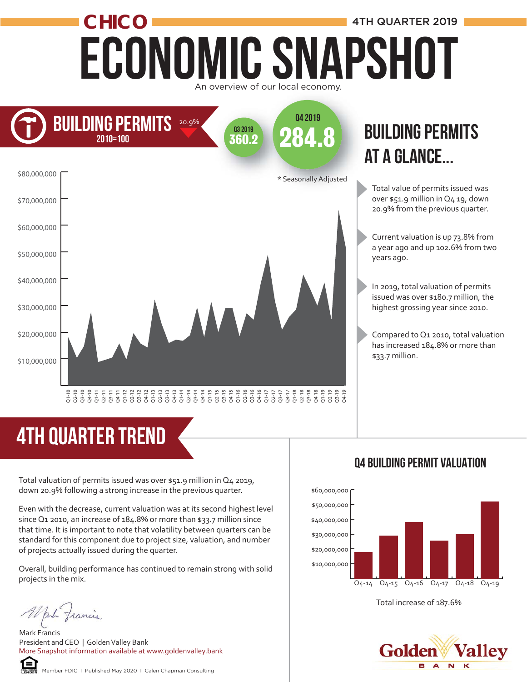# Economic Snapshot **CHICO 1** 4TH QUARTER 2019 An overview of our local economy.



## **BUILDING PERMITS** at a glance...

- Total value of permits issued was over \$51.9 million in Q4 19, down 20.9% from the previous quarter.
- Current valuation is up 73.8% from a year ago and up 102.6% from two years ago.
- In 2019, total valuation of permits issued was over \$180.7 million, the highest grossing year since 2010.
- Compared to Q1 2010, total valuation has increased 184.8% or more than \$33.7 million.

# 4TH quarter trend

Total valuation of permits issued was over \$51.9 million in Q4 2019, down 20.9% following a strong increase in the previous quarter.

Even with the decrease, current valuation was at its second highest level since Q1 2010, an increase of 184.8% or more than \$33.7 million since that time. It is important to note that volatility between quarters can be standard for this component due to project size, valuation, and number of projects actually issued during the quarter.  $\frac{2}{5}$   $\frac{2}{3}$   $\frac{2}{3}$   $\frac{2}{5}$   $\frac{2}{3}$   $\frac{2}{3}$   $\frac{2}{3}$   $\frac{2}{3}$   $\frac{2}{3}$   $\frac{2}{3}$   $\frac{2}{3}$   $\frac{2}{3}$   $\frac{2}{3}$   $\frac{2}{3}$   $\frac{2}{3}$   $\frac{2}{3}$   $\frac{2}{3}$   $\frac{2}{3}$   $\frac{2}{3}$   $\frac{2}{3}$   $\frac{2}{3}$   $\frac{2}{3}$ 

Overall, building performance has continued to remain strong with solid projects in the mix.

Mark Francis President and CEO | Golden Valley Bank More Snapshot information available at www.goldenvalley.bank



#### Q4 Building permit Valuation



Total increase of 187.6%

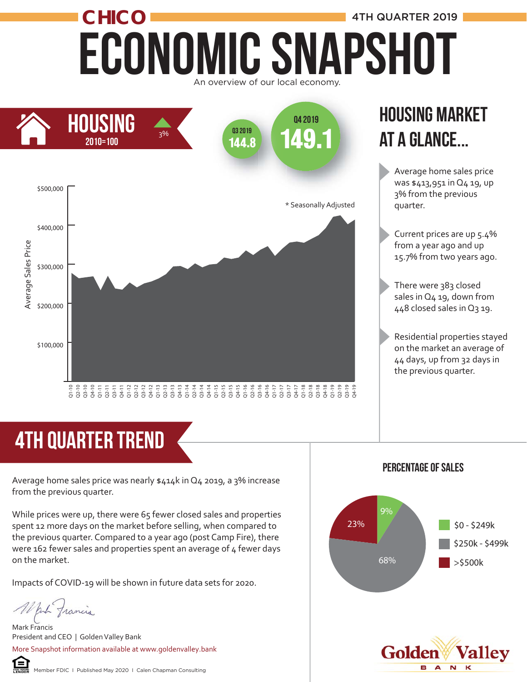# ECONOMIC SNAPSHOT **CHICO** 4TH QUARTER 2019 An overview of our local economy.



## Housing market at a glance...

Average home sales price was \$413,951 in Q4 19, up 3% from the previous quarter.

- Current prices are up 5.4% from a year ago and up 15.7% from two years ago.
- There were 383 closed sales in Q4 19, down from 448 closed sales in Q3 19.
- Residential properties stayed on the market an average of 44 days, up from 32 days in the previous quarter.

# 4th quarter trend

Average home sales price was nearly \$414k in Q4 2019, a 3% increase from the previous quarter.

While prices were up, there were 65 fewer closed sales and properties spent 12 more days on the market before selling, when compared to the previous quarter. Compared to a year ago (post Camp Fire), there were 162 fewer sales and properties spent an average of 4 fewer days on the market.

Impacts of COVID-19 will be shown in future data sets for 2020.

put francis

Mark Francis President and CEO | Golden Valley Bank More Snapshot information available at www.goldenvalley.bank



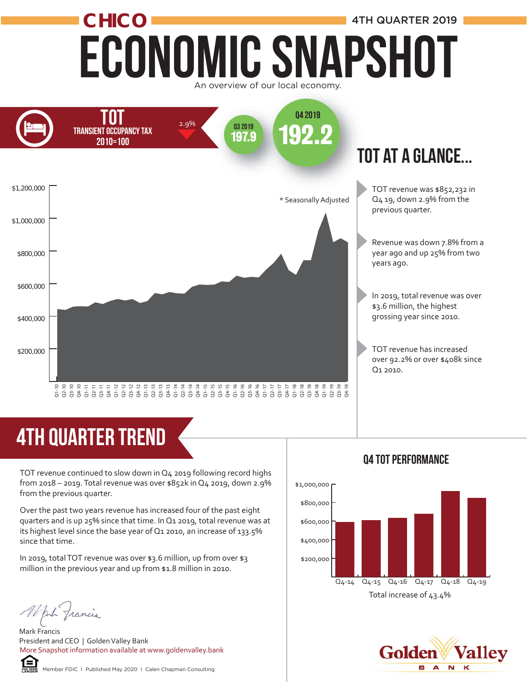# Economic Snapshot **CHICO 1** 4TH QUARTER 2019 An overview of our local economy.



## tot at a glance...

TOT revenue was \$852,232 in Q4 19, down 2.9% from the previous quarter.

Revenue was down 7.8% from a year ago and up 25% from two years ago.

In 2019, total revenue was over \$3.6 million, the highest grossing year since 2010.

TOT revenue has increased over 92.2% or over \$408k since Q1 2010.

# **4TH QUARTER TREND**

TOT revenue continued to slow down in Q4 2019 following record highs from 2018 – 2019. Total revenue was over \$852k in Q4 2019, down 2.9% from the previous quarter.

Over the past two years revenue has increased four of the past eight quarters and is up 25% since that time. In Q1 2019, total revenue was at its highest level since the base year of Q1 2010, an increase of 133.5% since that time.  $\frac{2}{3}$   $\frac{2}{3}$   $\frac{2}{3}$   $\frac{2}{3}$   $\frac{2}{3}$   $\frac{2}{3}$   $\frac{2}{3}$   $\frac{2}{3}$   $\frac{2}{3}$   $\frac{2}{3}$   $\frac{2}{3}$   $\frac{2}{3}$   $\frac{2}{3}$   $\frac{2}{3}$   $\frac{2}{3}$   $\frac{2}{3}$   $\frac{2}{3}$   $\frac{2}{3}$   $\frac{2}{3}$   $\frac{2}{3}$   $\frac{2}{3}$   $\frac{2}{3}$ 

In 2019, total TOT revenue was over \$3.6 million, up from over \$3 million in the previous year and up from \$1.8 million in 2010.

Mark Francis President and CEO | Golden Valley Bank More Snapshot information available at www.goldenvalley.bank



\$1,000,000

Q4 tot Performance